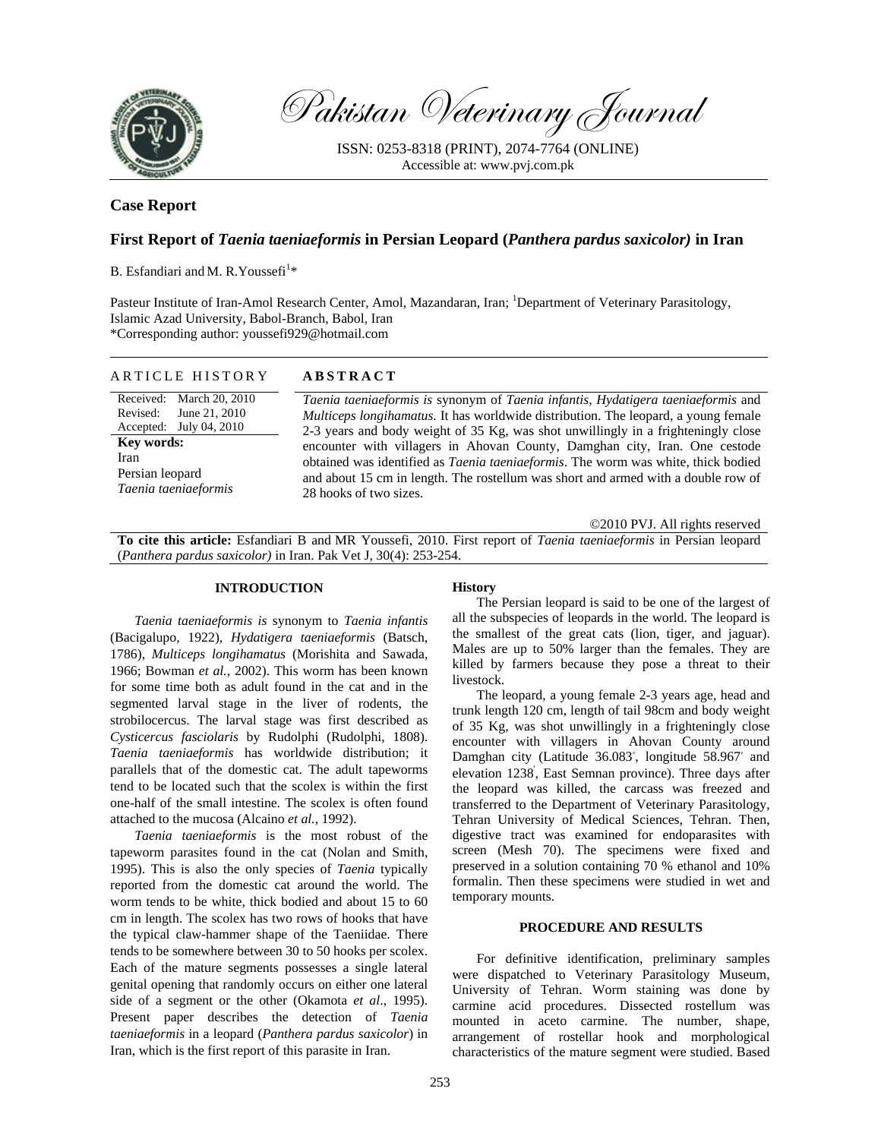

Pakistan Veterinary Journal

ISSN: 0253-8318 (PRINT), 2074-7764 (ONLINE) Accessible at: www.pvj.com.pk

# **Case Report**

## **First Report of** *Taenia taeniaeformis* **in Persian Leopard (***Panthera pardus saxicolor)* **in Iran**

B. Esfandiari and M. R. Youssefi<sup>1\*</sup>

Pasteur Institute of Iran-Amol Research Center, Amol, Mazandaran, Iran; <sup>1</sup>Department of Veterinary Parasitology, Islamic Azad University, Babol-Branch, Babol, Iran \*Corresponding author: youssefi929@hotmail.com

| ARTICLE HISTORY                                       | <b>ABSTRACT</b>                                                                                                                                                                                          |
|-------------------------------------------------------|----------------------------------------------------------------------------------------------------------------------------------------------------------------------------------------------------------|
| Received: March 20, 2010<br>June 21, 2010<br>Revised: | Taenia taeniaeformis is synonym of Taenia infantis, Hydatigera taeniaeformis and<br><i>Multiceps longihamatus.</i> It has worldwide distribution. The leopard, a young female                            |
| Accepted: July 04, 2010<br><b>Key words:</b>          | 2-3 years and body weight of 35 Kg, was shot unwillingly in a frighteningly close<br>encounter with villagers in Ahovan County, Damghan city, Iran. One cestode                                          |
| Iran<br>Persian leopard                               | obtained was identified as <i>Taenia taeniaeformis</i> . The worm was white, thick bodied<br>and about 15 cm in length. The rostellum was short and armed with a double row of<br>28 hooks of two sizes. |
| Taenia taeniaeformis                                  |                                                                                                                                                                                                          |

©2010 PVJ. All rights reserved

**To cite this article:** Esfandiari B and MR Youssefi, 2010. First report of *Taenia taeniaeformis* in Persian leopard (*Panthera pardus saxicolor)* in Iran. Pak Vet J, 30(4): 253-254.

#### **INTRODUCTION**

*Taenia taeniaeformis is* synonym to *Taenia infantis*  (Bacigalupo, 1922), *Hydatigera taeniaeformis* (Batsch, 1786), *Multiceps longihamatus* (Morishita and Sawada, 1966; Bowman *et al.*, 2002). This worm has been known for some time both as adult found in the cat and in the segmented larval stage in the liver of rodents, the strobilocercus. The larval stage was first described as *Cysticercus fasciolaris* by Rudolphi (Rudolphi, 1808). *Taenia taeniaeformis* has worldwide distribution; it parallels that of the domestic cat. The adult tapeworms tend to be located such that the scolex is within the first one-half of the small intestine. The scolex is often found attached to the mucosa (Alcaino *et al.*, 1992).

*Taenia taeniaeformis* is the most robust of the tapeworm parasites found in the cat (Nolan and Smith, 1995). This is also the only species of *Taenia* typically reported from the domestic cat around the world. The worm tends to be white, thick bodied and about 15 to 60 cm in length. The scolex has two rows of hooks that have the typical claw-hammer shape of the Taeniidae. There tends to be somewhere between 30 to 50 hooks per scolex. Each of the mature segments possesses a single lateral genital opening that randomly occurs on either one lateral side of a segment or the other (Okamota *et al*., 1995). Present paper describes the detection of *Taenia taeniaeformis* in a leopard (*Panthera pardus saxicolor*) in Iran, which is the first report of this parasite in Iran.

### **History**

The Persian leopard is said to be one of the largest of all the subspecies of leopards in the world. The leopard is the smallest of the great cats (lion, tiger, and jaguar). Males are up to 50% larger than the females. They are killed by farmers because they pose a threat to their livestock.

The leopard, a young female 2-3 years age, head and trunk length 120 cm, length of tail 98cm and body weight of 35 Kg, was shot unwillingly in a frighteningly close encounter with villagers in Ahovan County around Damghan city (Latitude 36.083°, longitude 58.967° and elevation 1238' , East Semnan province). Three days after the leopard was killed, the carcass was freezed and transferred to the Department of Veterinary Parasitology, Tehran University of Medical Sciences, Tehran. Then, digestive tract was examined for endoparasites with screen (Mesh 70). The specimens were fixed and preserved in a solution containing 70 % ethanol and 10% formalin. Then these specimens were studied in wet and temporary mounts.

### **PROCEDURE AND RESULTS**

For definitive identification, preliminary samples were dispatched to Veterinary Parasitology Museum, University of Tehran. Worm staining was done by carmine acid procedures. Dissected rostellum was mounted in aceto carmine. The number, shape, arrangement of rostellar hook and morphological characteristics of the mature segment were studied. Based